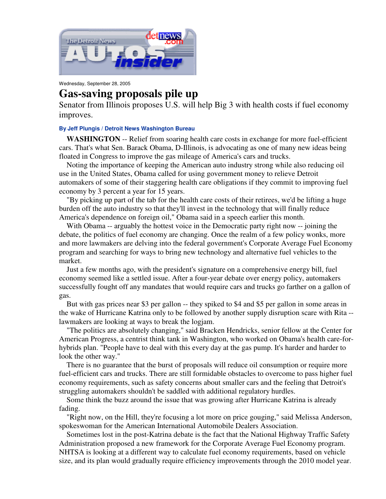

Wednesday, September 28, 2005

## **Gas-saving proposals pile up**

Senator from Illinois proposes U.S. will help Big 3 with health costs if fuel economy improves.

## **By Jeff Plungis / Detroit News Washington Bureau**

**WASHINGTON** -- Relief from soaring health care costs in exchange for more fuel-efficient cars. That's what Sen. Barack Obama, D-Illinois, is advocating as one of many new ideas being floated in Congress to improve the gas mileage of America's cars and trucks.

Noting the importance of keeping the American auto industry strong while also reducing oil use in the United States, Obama called for using government money to relieve Detroit automakers of some of their staggering health care obligations if they commit to improving fuel economy by 3 percent a year for 15 years.

"By picking up part of the tab for the health care costs of their retirees, we'd be lifting a huge burden off the auto industry so that they'll invest in the technology that will finally reduce America's dependence on foreign oil," Obama said in a speech earlier this month.

With Obama -- arguably the hottest voice in the Democratic party right now -- joining the debate, the politics of fuel economy are changing. Once the realm of a few policy wonks, more and more lawmakers are delving into the federal government's Corporate Average Fuel Economy program and searching for ways to bring new technology and alternative fuel vehicles to the market.

Just a few months ago, with the president's signature on a comprehensive energy bill, fuel economy seemed like a settled issue. After a four-year debate over energy policy, automakers successfully fought off any mandates that would require cars and trucks go farther on a gallon of gas.

But with gas prices near \$3 per gallon -- they spiked to \$4 and \$5 per gallon in some areas in the wake of Hurricane Katrina only to be followed by another supply disruption scare with Rita - lawmakers are looking at ways to break the logjam.

"The politics are absolutely changing," said Bracken Hendricks, senior fellow at the Center for American Progress, a centrist think tank in Washington, who worked on Obama's health care-forhybrids plan. "People have to deal with this every day at the gas pump. It's harder and harder to look the other way."

There is no guarantee that the burst of proposals will reduce oil consumption or require more fuel-efficient cars and trucks. There are still formidable obstacles to overcome to pass higher fuel economy requirements, such as safety concerns about smaller cars and the feeling that Detroit's struggling automakers shouldn't be saddled with additional regulatory hurdles.

Some think the buzz around the issue that was growing after Hurricane Katrina is already fading.

"Right now, on the Hill, they're focusing a lot more on price gouging," said Melissa Anderson, spokeswoman for the American International Automobile Dealers Association.

Sometimes lost in the post-Katrina debate is the fact that the National Highway Traffic Safety Administration proposed a new framework for the Corporate Average Fuel Economy program. NHTSA is looking at a different way to calculate fuel economy requirements, based on vehicle size, and its plan would gradually require efficiency improvements through the 2010 model year.